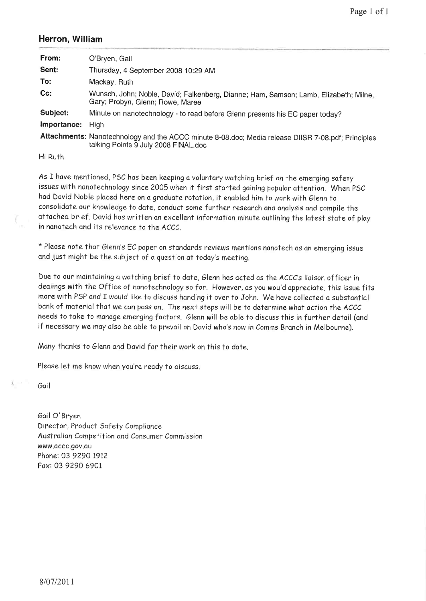## Herron, William

| From:       | O'Bryen, Gail                                                                                                                              |
|-------------|--------------------------------------------------------------------------------------------------------------------------------------------|
| Sent:       | Thursday, 4 September 2008 10:29 AM                                                                                                        |
| To:         | Mackay, Ruth                                                                                                                               |
| $Cc$ :      | Wunsch, John; Noble, David; Falkenberg, Dianne; Ham, Samson; Lamb, Elizabeth; Milne,<br>Gary; Probyn, Glenn; Rowe, Maree                   |
| Subject:    | Minute on nanotechnology - to read before Glenn presents his EC paper today?                                                               |
| Importance: | <b>High</b>                                                                                                                                |
|             | Attachments: Nanotechnology and the ACCC minute 8-08.doc; Media release DIISR 7-08.pdf; Principles<br>talking Points 9 July 2008 FINAL.doc |
| Hi Ruth     |                                                                                                                                            |

As I have mentioned, PSC has been keeping a voluntary watching brief on the emerging safety issues with nanotechnology since 2005 when it first started gaining popular attention. When PSC had David Noble placed here on a graduate rotation, it enabled him to work with Glenn to consolidate our knowledge to date, conduct some further research and analysis and compile the attached brief. David has written an excellent information minute outlining the latest state of play in nanotech and its relevance to the ACCC.

\* Please note that Glenn's EC paper on standards reviews mentions nanotech as an emerging issue and just might be the subject of a question at today's meeting.

Due to our maintaining a watching brief to date, Glenn has acted as the ACCC's liaison officer in dealings with the Office of nanotechnology so far. However, as you would appreciate, this issue fits more with PSP and I would like to discuss handing it over to John. We have collected a substantial bank of material that we can pass on. The next steps will be to determine what action the ACCC needs to take to manage emerging factors. Glenn will be able to discuss this in further detail (and if necessary we may also be able to prevail on David who's now in Comms Branch in Melbourne).

Many thanks to Glenn and David for their work on this to date.

Please let me know when you're ready to discuss.

Goil

Gail O'Bryen Director, Product Safety Compliance Australian Competition and Consumer Commission www.occc.9ov.qu Phone: 03 9290 I9I2 Fox: 03 9290 69Ot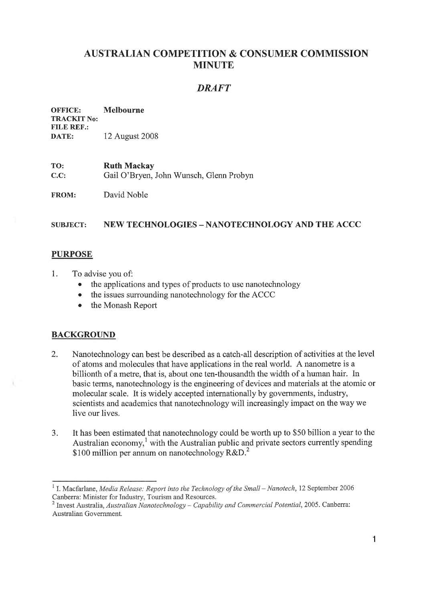# AUSTRALIAN COMPETITION & CONSUMER COMMISSION MINUTE

# DRAFT

#### OFFICE: Melbourne TRACKIT No: FILE REF.: DATE: 12 August <sup>2008</sup>

TO: Ruth Mackay C.C: Gail O'Brven. John Wunsch. Glenn Probvn

FROM: David Noble

#### STJBJECT: NEW TECHNOLOGIES - NANOTECHNOLOGY AND THE ACCC

## **PURPOSE**

- 1. To advise you of:
	- the applications and types of products to use nanotechnology
	- the issues surrounding nanotechnology for the ACCC
	- the Monash Report

#### **BACKGROUND**

- 2. Nanotechnology can best be described as a catch-all description of activities at the level of atoms and rnolecules that have applications in the real world. A nanometre is a billionth of a metre, that is, about one ten-thousandth the width of a human hair. In basic terms, nanotechnology is the engineering of devices and materials at the atomic or molecular scale. It is widely accepted internationally by governments, industry, scientists and academics that nanotechnology will increasingly impact on the way we live our lives.
- 3. It has been estimated that nanotechnology could be worth up to \$50 billion a year to the Australian economy, $\frac{1}{1}$  with the Australian public and private sectors currently spending \$100 million per annum on nanotechnology R&D.<sup>2</sup>

<sup>&</sup>lt;sup>1</sup> I. Macfarlane, *Media Release: Report into the Technology of the Small – Nanotech*, 12 September 2006 Canberra: Minister for Industrv. Tourism and Resources.

<sup>&</sup>lt;sup>2</sup> Invest Australia, Australian Nanotechnology – Capability and Commercial Potential, 2005. Canberra: Australian Government.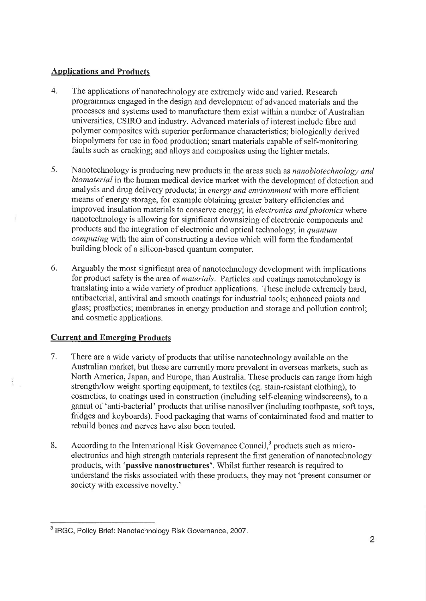## Applications and Products

- 4. The applications of nanotechnology are extremely wide and varied. Research programmes engaged in the design and development of advanced materials and the processes and systems used to manufacture them exist within a number of Australian universities, CSIRO and industry. Advanced materials of interest include fibre and polymer composites with superior performance characteristics; biologically derived biopolymers for use in food production; smart materials capable of self-monitoring faults such as cracking; and alloys and composites using the lighter metals.
- Nanotechnology is producing new products in the areas such as nanobiotechnology and biomaterial in the human medical device market with the development of detection and analysis and drug delivery products; in energy and environment with more efficient means of energy storage, for example obtaining greater battery efficiencies and improved insulation materials to conserve energy; in electronics and photonics where nanotechnology is allowing for significant downsizing of electronic components and products and the integration of electronic and optical technology; in quantum computing with the aim of constructing a device which will form the fundamental building block of a silicon-based quantum computer. 5.
- Arguably the most significant area of nanotechnology development with implications for product safety is the area of *materials*. Particles and coatings nanotechnology is translating into a wide variety of product applications. These include extremely hard, antibacterial, antiviral and smooth coatings for industrial tools; enhanced paints and glass; prosthetics; membranes in energy production and storage and pollution control; and cosmetic applications. 6.

# Current and Emerging Products

- There are a wide variety of products that utilise nanotechnology available on the Australian market, but these are currently more prevalent in overseas markets, such as North America, Japan, and Europe, than Australia. These products can range from high strength/low weight sporting equipment, to textiles (eg. stain-resistant clothing), to cosmetics, to coatings used in construction (including self-cleaning windscreens), to a gamut of 'anti-bacterial' products that utilise nanosilver (including tootþaste, soft toys, fridges and keyboards). Food packaging that warns of contaiminated food and matter to rebuild bones and nerves have also been touted. 7.
- According to the International Risk Governance Council, $3$  products such as microelectronics and high strength materials represent the first generation of nanotechnology products, with 'passive nanostructures'. Whilst further research is required to understand the risks associated with these products, they may not 'present consumer or society with excessive novelty.' 8.

<sup>&</sup>lt;sup>3</sup> IRGC, Policy Brief: Nanotechnology Risk Governance, 2007.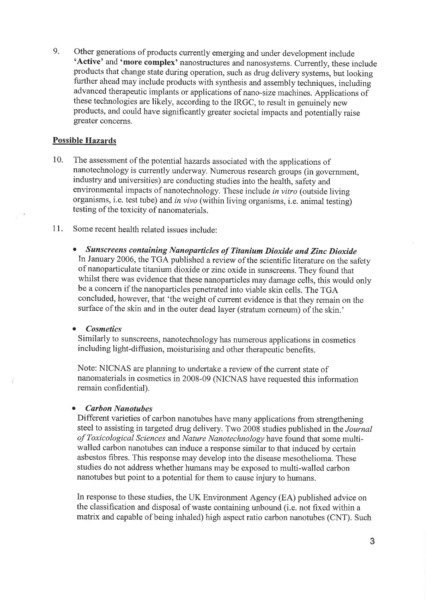9. Other generations of products currently emerging and under development include<br>
'Active' and 'more complex' nanostructures and nanosystems. Currently, these include products that change state during operation, such as drug delivery systems, but looking fuither ahead may include products with synthesis and assembly techniques, includingadvanced therapeutic implants or applications of nano-size machines. Applications of these technologies are likely, according to the IRGC, to result in genuinely new products, and could have significantly greater societal impacts and potentially raise greater concerns.

## Possible Hazards

- 10. The assessment of the potential hazards associated with the applications of nanotechnology is currently underway. Numerous research groups (in government, industry and universities) are conducting studies into the health, safety and environmental impacts of nanotechnology. These include in vitro (outside living organisms, i.e. test tube) and in vivo (within living organisms, i.e. animal testing) testing of the toxicity of nanomaterials.
- 11. Some recent health related issues include:
	- o Sunscreens contøíníng Nønoparticles of Títanìam Dioxìde ønd Zinc Díoxíde In January 2006, the TGA published a review of the scientific literature on the safety of nanoparticulate titanium dioxide or zinc oxide in sunscreens. They found that whilst there was evidence that these nanoparticles may damage cells, this would only be a concern if the nanoparticles penetrated into viable skin cells. The TGA concluded, however, that 'the weight of current evidence is that they remain on the surface of the skin and in the outer dead layer (stratum corneum) of the skin.'

**Cosmetics** 

Similarly to sunscreens, nanotechnology has numerous applications in cosmetics including light-diffusion, moisturising and other therapeutic benefits.

Note: NICNAS are planning to undertake a review of the current state of nanomaterials in cosmetics in 2008-09 (NICNAS have requested this information remain confidential).

#### **Carbon Nanotubes**

Different varieties of carbon nanotubes have many applications from strengthening steel to assisting in targeted drug delivery. Two 2008 studies published in the Journal of Toxicological Sciences and Nature Nanotechnology have found that some multiwalled carbon nanotubes can induce a response similar to that induced by certain asbestos fibres. This response may develop into the disease mesothelioma. These studies do not address whether humans may be exposed to multi-walled carbon nanotubes but point to a potential for them to cause injury to humans.

In response to these studies, the UK Environment Agency (EA) published advice on the classification and disposal of waste containing unbound (i.e. not fixed within a matrix and capable of being inhaled) high aspect ratio carbon nanotubes (CNT). Such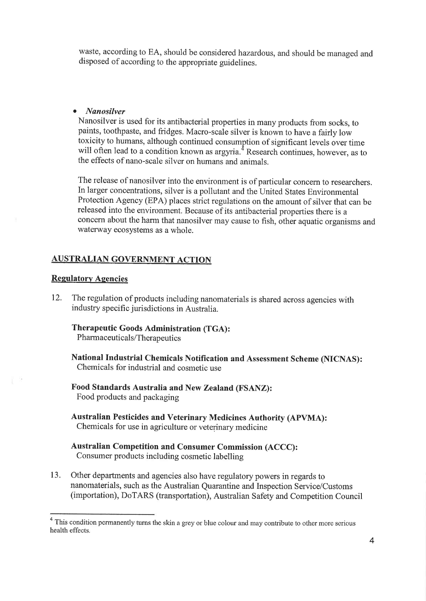waste, according to EA, should be considered hazardous, and should be managed and disposed of according to the appropriate guidelines.

#### o Nønosilver

Nanosilver is used for its antibacterial properties in many products from socks, to paints, tootþaste, and fridges. Macro-scale silver is known to have a fairly low toxicity to hurnans, although continued consumption of significant levels over time will often lead to a condition known as argyria.<sup> $4$ </sup> Research continues, however, as to the effects of nano-scale silver on humans and animals.

The release of nanosilver into the environment is of particular concern to researchers. In larger concentrations, silver is a pollutant and the United States Environmental Protection Agency (EPA) places strict regulations on the amount of silver that can be released into the environment. Because of its antibacterial properties there is <sup>a</sup> concern about the harm that nanosilver may cause to fish, other aquatic organisms and waterway ecosystems as a whole.

## **AUSTRALIAN GOVERNMENT ACTION**

#### Regulatory Agencies

12. The regulation of products including nanomaterials is shared across agencies with industry specific jurisdictions in Australia.

Therapeutic Goods Administration (TGA) : Pharmaceuticals/Therapeutics

National Industrial Chemicals Notifïcation and Assessment Scheme (NICNAS): Chemicals for industrial and cosmetic use

Food Standards Australia and New Zealand (FSANZ): Food products and packaging

Australian Pesticides and veterinary Medicines Authority (ApvMA): Chemicals for use in agriculture or veterinary medicine

#### Australian Competition and Consumer Commission (ACCC): Consumer products including cosmetic labelling

13. Other departments and agencies also have regulatory powers in regards to nanomaterials, such as the Australian Quarantine and Inspection Service/Customs (importation), DoTARS (transportation), Australian Safety and Competition Council

<sup>&</sup>lt;sup>4</sup> This condition permanently turns the skin a grey or blue colour and may contribute to other more serious health effects.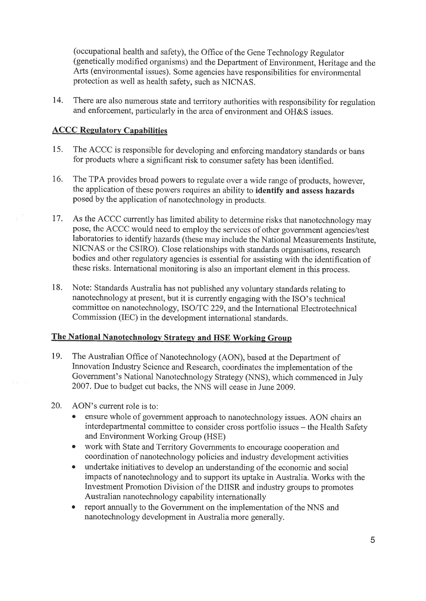(occupational health and safety), the Offìce of the Gene Technology Regulator (genetically modified organisms) and the Department of Environment, Heritage and the Arts (environmental issues). Some agencies have responsibilities for environmental protection as well as health safety, such as NICNAS.

74. There are also numerous state and territory authorities with responsibility for regulation and enforcement, particularly in the area of environment and OH&S issues.

## **ACCC Regulatory Capabilities**

- 15. The ACCC is responsible for developing and enforcing mandatory standards or bans for products where a significant risk to consumer safety has been identified.
- 16. The TPA provides broad powers to regulate over a wide range of products, however, the application of these powers requires an ability to identify and assess hazards posed by the application of nanotechnology in products.
- 17. As the ACCC currently has limited ability to determine risks that nanotechnology may pose, the ACCC would need to employ the services of other govemment agencies/test laboratories to identify hazards (these may include the National Measurements Institute, NICNAS or the CSIRO). Close relationships with standards organisations, research bodies and other regulatory agencies is essential for assisting with the identification of these risks. International monitoring is also an important element in this process.
- Note: Standards Australia has not published any voluntary standards relating to nanotechnology at present, but it is currently engaging with the ISo's technical committee on nanotechnology, ISO/TC 229, and the International Electrotechnical Commission (IEC) in the development international standards. 18.

## The National Nanotechnology Strategy and HSE Working Group

- The Australian office of Nanotechnology (AoN), based at the Department of Innovation Industry Science and Research, coordinates the implementation of the Govemment's National Nanotechnology Strategy (NNS), which commenced in July 2007. Due to budget cut backs, the NNS will cease in June 2009. 19.
- AON's current role is to: 20.
	- ensure whole of government approach to nanotechnology issues. AON chairs an interdepartmental committee to consider cross portfolio issues – the Health Safety and Environment Working Group (HSE)
	- o work with State and Territory Govemments to encourage cooperation and coordination of nanotechnology policies and industry development activities
	- o undertake initiatives to develop an understanding of the economic and social impacts of nanotechnology and to support its uptake in Australia. Works with the Investment Promotion Division of the DIISR and industry groups to promotes Australian nanotechnology capability internationally
	- o report annually to the Government on the implementation of the NNS and nanotechnology development in Australia more generally.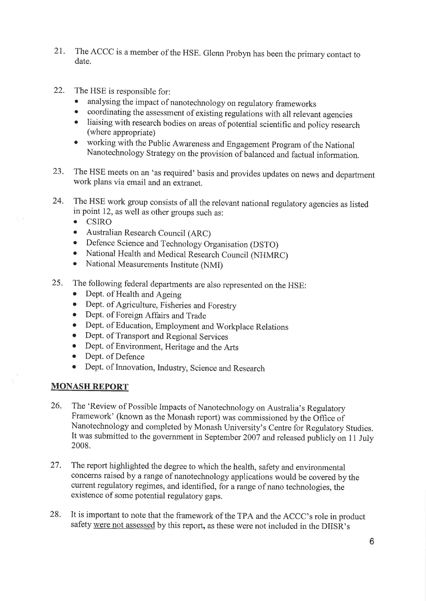- 21. The ACCC is a member of the HSE. Glenn Probyn has been the primary contact to date.
- 22. The HSE is responsible for:
	- . analysing the impact of nanotechnology on regulatory frameworks
	- o coordinating the assessment of existing regulations with all relevant agencies
	- o liaising with research bodies on areas of potential scientific and policy research (where appropriate)
	- o working with the Public Awareness and Engagement Program of the National Nanotechnology Strategy on the provision of balanced and factual information.
- 23. The HSE meets on an 'as required' basis and provides updates on news and department work plans via email and an extranet.
- 24. The HSE work group consists of all the relevant national regulatory agencies as listed in point 12, as well as other groups such as:
	- o CSIRO
	- Australian Research Council (ARC)
	- o Defence Science and Technology Organisation (DSTO)
	- National Health and Medical Research Council (NHMRC)<br>• National Measurements Institute (NMI)
	- National Measurements Institute (NMI)
- 25. The following federal departments are also represented on the HSE:
	- Dept. of Health and Ageing
	- o Dept. of Agriculture, Fisheries and Forestry
	- o Dept. of Foreign Affairs and Trade
	- o Dept. of Education, Employment and Worþlace Relations
	- o Dept. of Transport and Regional Services
	- o Dept. of Environment, Heritage and the Arts
	- Dept. of Defence
	- o Dept. of Innovation, Industry, Science and Research

#### MONASH REPORT

- 26. The 'Review of Possible Impacts of Nanotechnology on Australia's Regulatory Framework' (known as the Monash report) was commissioned by the Office of Nanotechnology and completed by Monash University's Centre for Regulatory Studies. It was submitted to the government in September 2007 and released publicly on 11 July 2008.
- The report highlighted the degree to which the health, safety and environmental concerns raised by a range of nanotechnology applications would be covered by the current regulatory regimes, and identified, for ararge of nano technologies, the existence of some potential regulatory gaps. 27.
- It is important to note that the framework of the TPA and the ACCC's role in product safety were not assessed by this report, as these were not included in the DIISR's 28.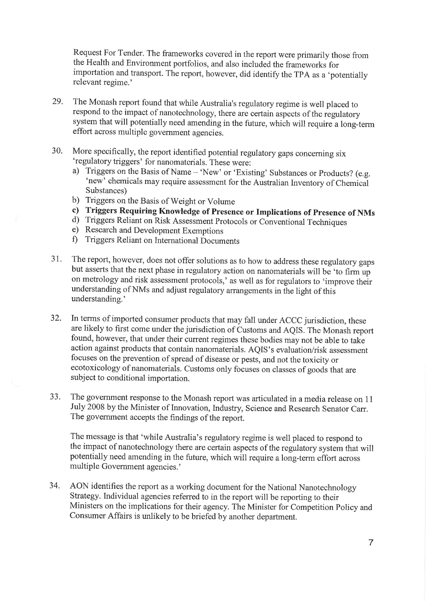Request For Tender. The frameworks covered in the report were primarily those from the Health and Environment portfolios, and also included the frameworks for importation and transport. The report, however, did identify the TpA as a 'potentially relevant regime.'

- 29. The Monash report found that while Australia's regulatory regime is well placed to respond to the impact of nanotechnology, there are certain aspects of the règulatory system that will potentially need amending in the future, which will require a long-term effort across multiple government agencies.
- More specifically, the report identified potential regulatory gaps conceming six 'regulatory triggers' for nanomaterials. These were: 30.
	- a) Triggers on the Basis of Name 'New' or 'Existing' Substances or Products? (e.g. 'new' chemicals may require assessment for the Australian Inventory of chemical Substances)<br>b) Triggers on the Basis of Weight or Volume
	-
	- c) Triggers Requiring Knowledge of Presence or Implications of Presence of NMs<br>d) Triggers Reliant on Risk Assessment Protocols or Conventional Techniques<br>e) Research and Development Exemptions
	-
	-
	- Ð Triggers Reliant on International Documents
- The report, however, does not offer solutions as to how to address these regulatory gaps but asserts that the next phase in regulatory action on nanomaterials will be 'to firm up on metrology and risk assessment protocols,' as well as for regulators to 'improve their understanding of NMs and adjust regulatory arrangements in the light of this understanding.' 31.
- In terms of imported consumer products that may fall under ACCC jurisdiction, these are likely to first come under the jurisdiction of Customs and AQIS. The Monash report found, however, that under their current regimes these bodies may not be able to take action against products that contain nanomaterials. AQIS's evaluation/risk assessment focuses on the prevention of spread of disease or pests, and not the toxicity or ecotoxicology of nanomaterials. Customs only focuses on classes of goods that are subject to conditional importation. 32.
- The govemment response to the Monash report was articulated in a media release on <sup>11</sup> July 2008 by the Minister of Innovation, Industry, Science and Research Senator Carr. The government accepts the findings of the report. 33.

The message is that 'while Australia's regulatory regime is well placed to respond to the impact of nanotechnology there are certain aspects of the regulatory system that will potentially need amending in the future, which will require a long-term effort across multiple Government agencies.'

AON identifies the report as a working document for the National Nanotechnology Strategy. Individual agencies referred to in the report will be reporting to their Ministers on the implications for their agency. The Minister for Competition Policy and Consumer Affairs is unlikely to be briefed by another department. 34.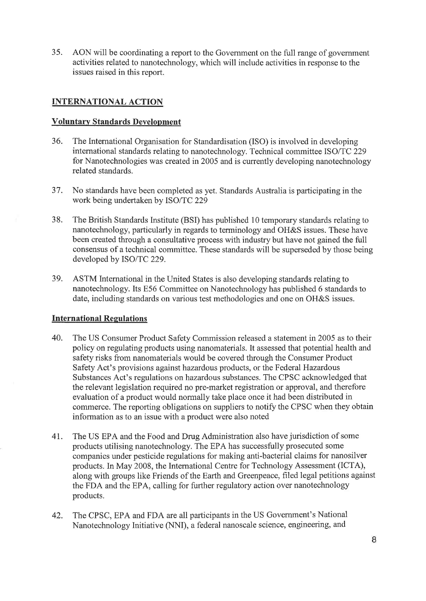35. AON will be coordinating a report to the Govemment on the full range of government activities related to nanotechnology, which will include activities in response to the issues raised in this report.

## INTERNATIONAL ACTION

## Voluntarv Standards Development

- 36. The International Organisation for Standardisation (ISO) is involved in developing international standards relating to nanotechnology. Technical committee ISO/TC 229 for Nanotechnologies was created in 2005 and is currently developing nanotechnology related standards.
- 37. No standards have been completed as yet. Standards Australia is participating in the work being undertaken by ISO/TC 229
- 38. The British Standards Institute (BSD has published 10 temporary standards relating to nanotechnology, particularly in regards to terminology and OH&S issues. These have been created through a consultative process with industry but have not gained the fuIl consensus of a technical committee. These standards will be superseded by those being developed by ISO/TC 229.
- 39. ASTM International in the United States is also developing standards relating to nanotechnology. Its E56 Committee on Nanotechnology has published 6 standards to date, including standards on various test methodologies and one on OH&S issues.

## International Regulations

- 40. The US Consumer Product Safety Commission released a statement in 2005 as to their policy on regulating products using nanomaterials. It assessed that potential health and safety risks from nanomaterials would be covered through the Consumer Product Safety Act's provisions against hazardous products, or the Federal Hazardous Substances Act's regulations on hazardous substances. The CPSC acknowledged that the relevant legislation required no pre-market registration or approval, and therefore evaluation of a product would normally take place once it had been distributed in commerce. The reporting obligations on suppliers to notify the CPSC when they obtain information as to an issue with a product were also noted
- 41. The US EPA and the Food and Drug Administration also have jurisdiction of some products utilising nanotechnology. The EPA has successfully prosecuted some companies under pesticide regulations for making anti-bacterial claims for nanosilver products. In May 2008, the Intemational Centre for Technology Assessment (ICTA), along with groups like Friends of the Earth and Greenpeace, filed legal petitions against the FDA and the EPA, calling for further regulatory action over nanotechnology products.
- 42. The CPSC, EPA and FDA are all participants in the US Government's National Nanotechnology Initiative (NNI), a federal nanoscale science, engineering, and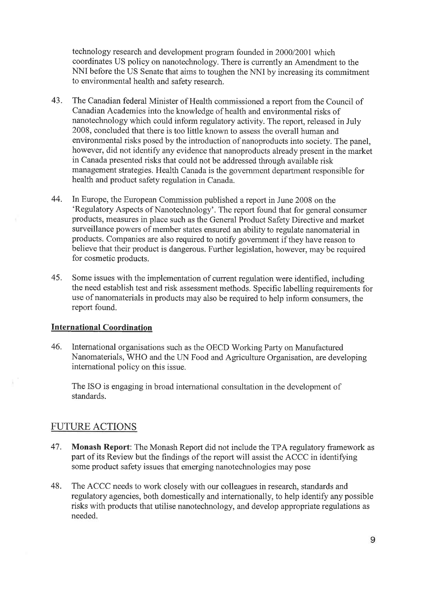technology research and development program founded in 2000/2001 which coordinates US policy on nanotechnology. There is currently an Amendment to the NNI before the US Senate that aims to toughen the NNI by increasing its commitment to environmental health and safety research.

- 43. The Canadian federal Minister of Health commissioned a report from the Council of Canadian Academies into the knowledge of health and environmental risks of nanotechnology which could inform regulatory activity. The report, released in July 2008, concluded that there is too little known to assess the overall human and environmental risks posed by the introduction of nanoproducts into society. The panel, however, did not identify any evidence that nanoproducts already present in the market in Canada presented risks that could not be addressed through available risk management strategies. Health Canada is the government department responsible for health and product safety regulation in Canada.
- 44. In Europe, the European Commission published a report in June 2008 on the 'Regulatory Aspects of Nanotechnology'. The report found that for general consumer products, measures in place such as the General Product Safety Directive and market surveillance powers of member states ensured an ability to regulate nanomaterial in products. Companies are also required to notify govemment if they have reason to believe that their product is dangerous. Further legislation, however, may be required for cosmetic products.
- 45. Some issues with the implementation of current regulation were identified, including the need establish test and risk assessment methods. Specific labelling requirements for use of nanomaterials in products may also be required to help inform consumers, the report found.

#### International Coordination

46. International organisations such as the OECD Working Party on Manufactured Nanomaterials, WHO and the IIN Food and Agriculture Organisation, are developing intemational policy on this issue.

The ISO is engaging in broad intemational consultation in the development of standards.

## FUTURE ACTIONS

- 47. Monash Report: The Monash Report did not include the TPA regulatory framework as part of its Review but the findings of the report will assist the ACCC in identifying some product safety issues that emerging nanotechnologies may pose
- 48. The ACCC needs to work closely with our colleagues in research, standards and regulatory agencies, both domestically and internationally, to help identify any possible risks with products that utilise nanotechnology, and develop appropriate regulations as needed.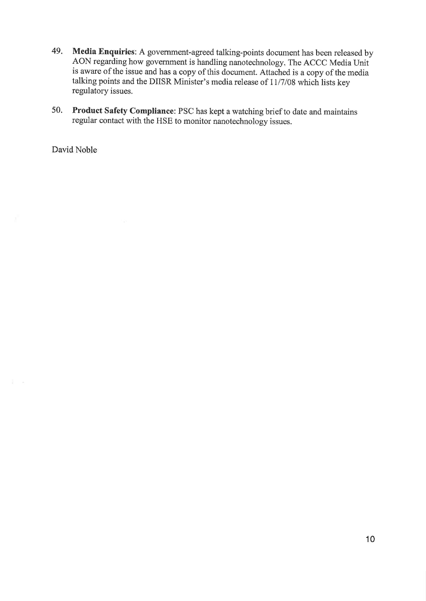- 49. Media Enquiries: A government-agreed talking-points document has been released by AON regarding how government is handling nanotechnology. The ACCC Media Unit is aware of the issue and has a eopy of this document. Attached is a copy of the media talking points and the DIISR Minister's media release of 11/7/08 which lists key regulatory issues.
- Product Safety Compliance: PSC has kept a watching brief to date and maintains regular contact with the HSE to monitor nanotechnology issues. 50.

David Noble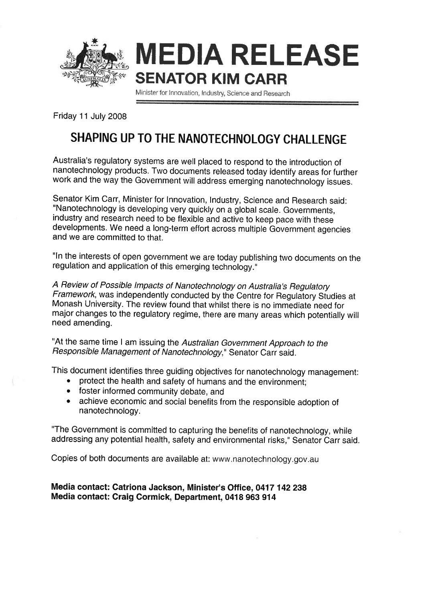

MEDIA RELEASE SENATOR KIM GARR

Minister for Innovation, Industry, Science and Research

Friday 11 July 2008

# SHAPING UP TO THE NANOTECHNOLOGY CHALLENGE

Australia's regulatory systems are well placed to respond to the introduction of nanotechnology products. Two documents released today identify areas for further work and the way the Government will address emerging nanotechnology issues.

Senator Kim Carr, Minister for Innovation, Industry, Science and Research said: "Nanotechnology is developing very quickly on a global scale. Governments, industry and research need to be flexible and active to keep pace with these developments. We need a long-term effort across multiple Government agencies and we are committed to that.

"ln the interests of open government we are today publishing two documents on the regulation and application of this emerging technology."

A Review of Possible lmpacts of Nanotechnology on Australia's Regulatory Framework, was independently conducted by the Centre for Regulatory Studies at Monash University. The review found that whilst there is no immediate need for major changes to the regulatory regime, there are many areas which potentially will need amending.

"At the same time I am issuing the Australian Government Approach to the Responsible Management of Nanotechnology," Senator Carr said.

This document identifies three guiding objectives for nanotechnology management:

- protect the health and safety of humans and the environment;
- foster informed community debate, and
- achieve economic and social benefits from the responsible adoption of nanotechnology.

"The Government is committed to capturing the benefits of nanotechnology, while addressing any potential health, safety and environmental risks," Senator Carr said.

Copies of both documents are available at: www.nanotechnology.gov.au

## Media contact: Catriona Jackson, Minister's Office, 0417 142238 Media contact: Craig Cormick, Department, 0418 963 914